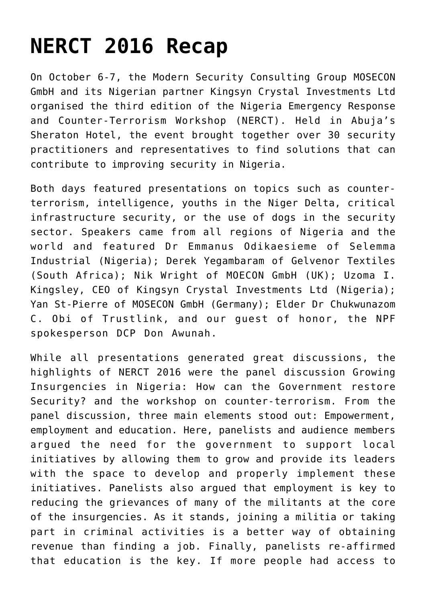## **[NERCT 2016 Recap](https://nerct.com/nerct-2016-recap/)**

On October 6-7, the Modern Security Consulting Group MOSECON GmbH and its Nigerian partner Kingsyn Crystal Investments Ltd organised the third edition of the Nigeria Emergency Response and Counter-Terrorism Workshop (NERCT). Held in Abuja's Sheraton Hotel, the event brought together over 30 security practitioners and representatives to find solutions that can contribute to improving security in Nigeria.

Both days featured presentations on topics such as counterterrorism, intelligence, youths in the Niger Delta, critical infrastructure security, or the use of dogs in the security sector. Speakers came from all regions of Nigeria and the world and featured Dr Emmanus Odikaesieme of Selemma Industrial (Nigeria); Derek Yegambaram of Gelvenor Textiles (South Africa); Nik Wright of MOECON GmbH (UK); Uzoma I. Kingsley, CEO of Kingsyn Crystal Investments Ltd (Nigeria); Yan St-Pierre of MOSECON GmbH (Germany); Elder Dr Chukwunazom C. Obi of Trustlink, and our guest of honor, the NPF spokesperson DCP Don Awunah.

While all presentations generated great discussions, the highlights of NERCT 2016 were the panel discussion Growing Insurgencies in Nigeria: How can the Government restore Security? and the workshop on counter-terrorism. From the panel discussion, three main elements stood out: Empowerment, employment and education. Here, panelists and audience members argued the need for the government to support local initiatives by allowing them to grow and provide its leaders with the space to develop and properly implement these initiatives. Panelists also argued that employment is key to reducing the grievances of many of the militants at the core of the insurgencies. As it stands, joining a militia or taking part in criminal activities is a better way of obtaining revenue than finding a job. Finally, panelists re-affirmed that education is the key. If more people had access to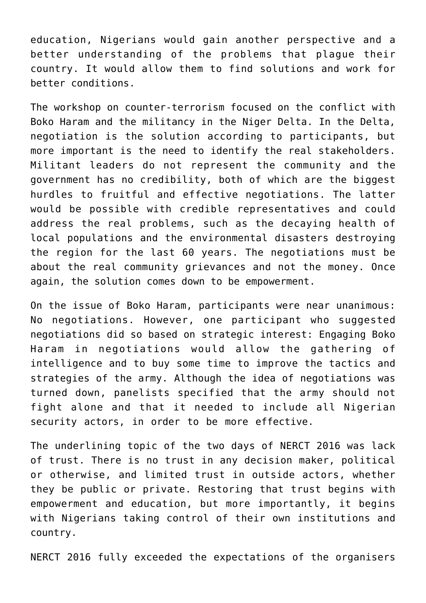education, Nigerians would gain another perspective and a better understanding of the problems that plague their country. It would allow them to find solutions and work for better conditions.

The workshop on counter-terrorism focused on the conflict with Boko Haram and the militancy in the Niger Delta. In the Delta, negotiation is the solution according to participants, but more important is the need to identify the real stakeholders. Militant leaders do not represent the community and the government has no credibility, both of which are the biggest hurdles to fruitful and effective negotiations. The latter would be possible with credible representatives and could address the real problems, such as the decaying health of local populations and the environmental disasters destroying the region for the last 60 years. The negotiations must be about the real community grievances and not the money. Once again, the solution comes down to be empowerment.

On the issue of Boko Haram, participants were near unanimous: No negotiations. However, one participant who suggested negotiations did so based on strategic interest: Engaging Boko Haram in negotiations would allow the gathering of intelligence and to buy some time to improve the tactics and strategies of the army. Although the idea of negotiations was turned down, panelists specified that the army should not fight alone and that it needed to include all Nigerian security actors, in order to be more effective.

The underlining topic of the two days of NERCT 2016 was lack of trust. There is no trust in any decision maker, political or otherwise, and limited trust in outside actors, whether they be public or private. Restoring that trust begins with empowerment and education, but more importantly, it begins with Nigerians taking control of their own institutions and country.

NERCT 2016 fully exceeded the expectations of the organisers